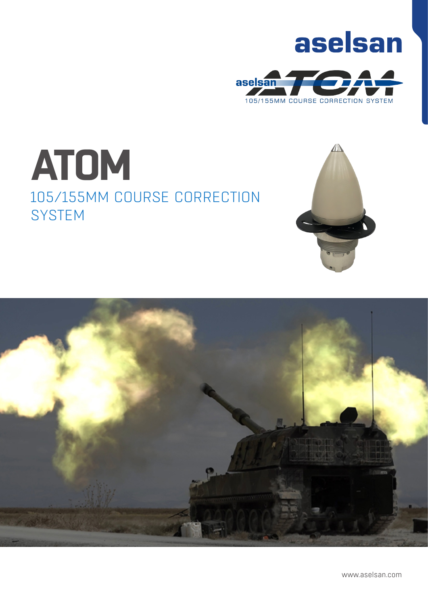# aselsan



# **ATOM** 105/155MM COURSE CORRECTION **SYSTEM**